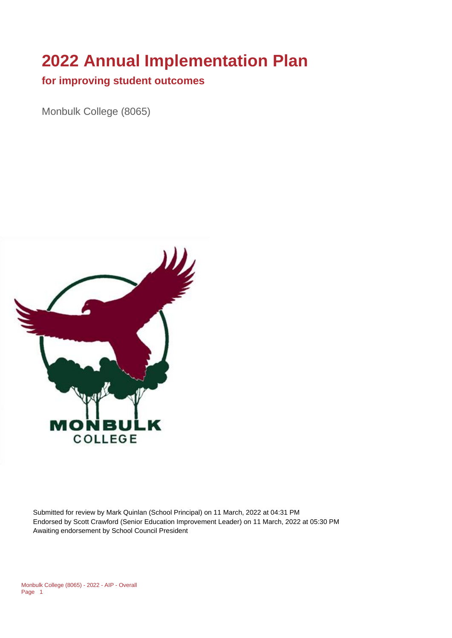# **2022 Annual Implementation Plan**

#### **for improving student outcomes**

Monbulk College (8065)



Submitted for review by Mark Quinlan (School Principal) on 11 March, 2022 at 04:31 PM Endorsed by Scott Crawford (Senior Education Improvement Leader) on 11 March, 2022 at 05:30 PM Awaiting endorsement by School Council President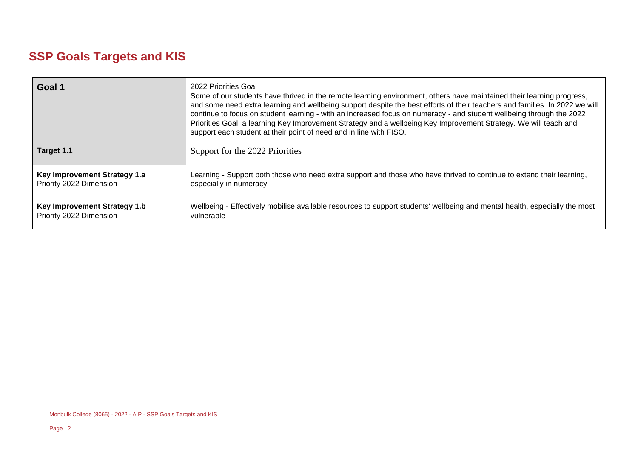## **SSP Goals Targets and KIS**

| Goal 1                       | 2022 Priorities Goal<br>Some of our students have thrived in the remote learning environment, others have maintained their learning progress,<br>and some need extra learning and wellbeing support despite the best efforts of their teachers and families. In 2022 we will<br>continue to focus on student learning - with an increased focus on numeracy - and student wellbeing through the 2022<br>Priorities Goal, a learning Key Improvement Strategy and a wellbeing Key Improvement Strategy. We will teach and<br>support each student at their point of need and in line with FISO. |
|------------------------------|------------------------------------------------------------------------------------------------------------------------------------------------------------------------------------------------------------------------------------------------------------------------------------------------------------------------------------------------------------------------------------------------------------------------------------------------------------------------------------------------------------------------------------------------------------------------------------------------|
| Target 1.1                   | Support for the 2022 Priorities                                                                                                                                                                                                                                                                                                                                                                                                                                                                                                                                                                |
| Key Improvement Strategy 1.a | Learning - Support both those who need extra support and those who have thrived to continue to extend their learning,                                                                                                                                                                                                                                                                                                                                                                                                                                                                          |
| Priority 2022 Dimension      | especially in numeracy                                                                                                                                                                                                                                                                                                                                                                                                                                                                                                                                                                         |
| Key Improvement Strategy 1.b | Wellbeing - Effectively mobilise available resources to support students' wellbeing and mental health, especially the most                                                                                                                                                                                                                                                                                                                                                                                                                                                                     |
| Priority 2022 Dimension      | vulnerable                                                                                                                                                                                                                                                                                                                                                                                                                                                                                                                                                                                     |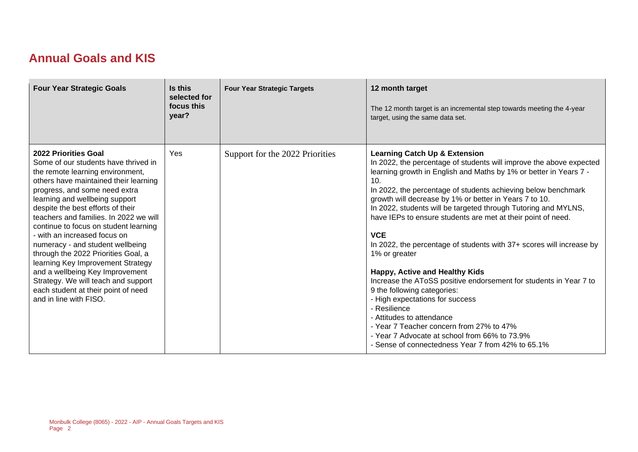#### **Annual Goals and KIS**

| <b>Four Year Strategic Goals</b>                                                                                                                                                                                                                                                                                                                                                                                                                                                                                                                                                                                                       | Is this<br>selected for<br>focus this<br>year? | <b>Four Year Strategic Targets</b> | 12 month target<br>The 12 month target is an incremental step towards meeting the 4-year<br>target, using the same data set.                                                                                                                                                                                                                                                                                                                                                                                                                                                                                                                                                                                                                                                                                                                                                                                                            |
|----------------------------------------------------------------------------------------------------------------------------------------------------------------------------------------------------------------------------------------------------------------------------------------------------------------------------------------------------------------------------------------------------------------------------------------------------------------------------------------------------------------------------------------------------------------------------------------------------------------------------------------|------------------------------------------------|------------------------------------|-----------------------------------------------------------------------------------------------------------------------------------------------------------------------------------------------------------------------------------------------------------------------------------------------------------------------------------------------------------------------------------------------------------------------------------------------------------------------------------------------------------------------------------------------------------------------------------------------------------------------------------------------------------------------------------------------------------------------------------------------------------------------------------------------------------------------------------------------------------------------------------------------------------------------------------------|
| <b>2022 Priorities Goal</b><br>Some of our students have thrived in<br>the remote learning environment,<br>others have maintained their learning<br>progress, and some need extra<br>learning and wellbeing support<br>despite the best efforts of their<br>teachers and families. In 2022 we will<br>continue to focus on student learning<br>- with an increased focus on<br>numeracy - and student wellbeing<br>through the 2022 Priorities Goal, a<br>learning Key Improvement Strategy<br>and a wellbeing Key Improvement<br>Strategy. We will teach and support<br>each student at their point of need<br>and in line with FISO. | Yes                                            | Support for the 2022 Priorities    | <b>Learning Catch Up &amp; Extension</b><br>In 2022, the percentage of students will improve the above expected<br>learning growth in English and Maths by 1% or better in Years 7 -<br>10.<br>In 2022, the percentage of students achieving below benchmark<br>growth will decrease by 1% or better in Years 7 to 10.<br>In 2022, students will be targeted through Tutoring and MYLNS,<br>have IEPs to ensure students are met at their point of need.<br><b>VCE</b><br>In 2022, the percentage of students with 37+ scores will increase by<br>1% or greater<br>Happy, Active and Healthy Kids<br>Increase the AToSS positive endorsement for students in Year 7 to<br>9 the following categories:<br>- High expectations for success<br>- Resilience<br>- Attitudes to attendance<br>- Year 7 Teacher concern from 27% to 47%<br>- Year 7 Advocate at school from 66% to 73.9%<br>- Sense of connectedness Year 7 from 42% to 65.1% |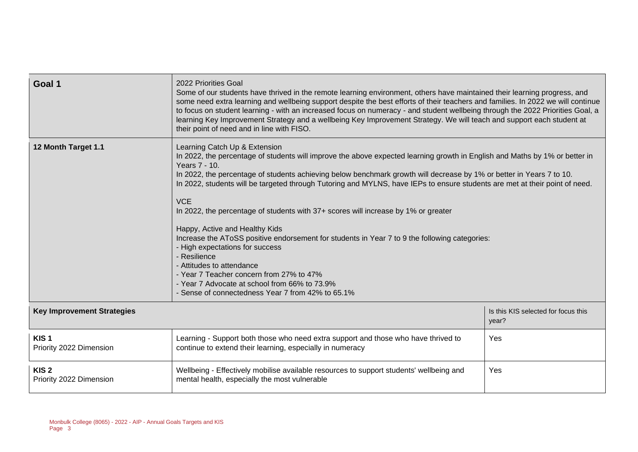| Goal 1                                      | 2022 Priorities Goal<br>Some of our students have thrived in the remote learning environment, others have maintained their learning progress, and<br>some need extra learning and wellbeing support despite the best efforts of their teachers and families. In 2022 we will continue<br>to focus on student learning - with an increased focus on numeracy - and student wellbeing through the 2022 Priorities Goal, a<br>learning Key Improvement Strategy and a wellbeing Key Improvement Strategy. We will teach and support each student at<br>their point of need and in line with FISO.                                                                                                                                                                                                                                                                                                                |                                              |
|---------------------------------------------|---------------------------------------------------------------------------------------------------------------------------------------------------------------------------------------------------------------------------------------------------------------------------------------------------------------------------------------------------------------------------------------------------------------------------------------------------------------------------------------------------------------------------------------------------------------------------------------------------------------------------------------------------------------------------------------------------------------------------------------------------------------------------------------------------------------------------------------------------------------------------------------------------------------|----------------------------------------------|
| 12 Month Target 1.1                         | Learning Catch Up & Extension<br>In 2022, the percentage of students will improve the above expected learning growth in English and Maths by 1% or better in<br>Years 7 - 10.<br>In 2022, the percentage of students achieving below benchmark growth will decrease by 1% or better in Years 7 to 10.<br>In 2022, students will be targeted through Tutoring and MYLNS, have IEPs to ensure students are met at their point of need.<br><b>VCE</b><br>In 2022, the percentage of students with 37+ scores will increase by 1% or greater<br>Happy, Active and Healthy Kids<br>Increase the AToSS positive endorsement for students in Year 7 to 9 the following categories:<br>- High expectations for success<br>- Resilience<br>- Attitudes to attendance<br>- Year 7 Teacher concern from 27% to 47%<br>- Year 7 Advocate at school from 66% to 73.9%<br>- Sense of connectedness Year 7 from 42% to 65.1% |                                              |
| <b>Key Improvement Strategies</b>           |                                                                                                                                                                                                                                                                                                                                                                                                                                                                                                                                                                                                                                                                                                                                                                                                                                                                                                               | Is this KIS selected for focus this<br>year? |
| KIS <sub>1</sub><br>Priority 2022 Dimension | Learning - Support both those who need extra support and those who have thrived to<br>continue to extend their learning, especially in numeracy                                                                                                                                                                                                                                                                                                                                                                                                                                                                                                                                                                                                                                                                                                                                                               | Yes                                          |
| KIS <sub>2</sub><br>Priority 2022 Dimension | Wellbeing - Effectively mobilise available resources to support students' wellbeing and<br>mental health, especially the most vulnerable                                                                                                                                                                                                                                                                                                                                                                                                                                                                                                                                                                                                                                                                                                                                                                      | Yes                                          |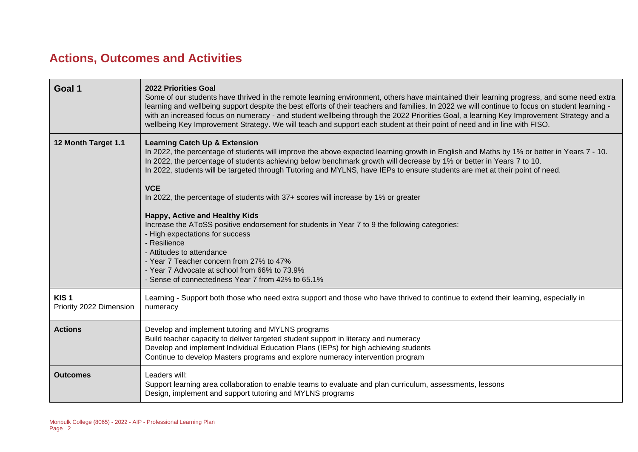## **Actions, Outcomes and Activities**

| Goal 1                                      | <b>2022 Priorities Goal</b><br>Some of our students have thrived in the remote learning environment, others have maintained their learning progress, and some need extra<br>learning and wellbeing support despite the best efforts of their teachers and families. In 2022 we will continue to focus on student learning -<br>with an increased focus on numeracy - and student wellbeing through the 2022 Priorities Goal, a learning Key Improvement Strategy and a<br>wellbeing Key Improvement Strategy. We will teach and support each student at their point of need and in line with FISO.                                                                                                                                                                                                                                                                                                                    |
|---------------------------------------------|-----------------------------------------------------------------------------------------------------------------------------------------------------------------------------------------------------------------------------------------------------------------------------------------------------------------------------------------------------------------------------------------------------------------------------------------------------------------------------------------------------------------------------------------------------------------------------------------------------------------------------------------------------------------------------------------------------------------------------------------------------------------------------------------------------------------------------------------------------------------------------------------------------------------------|
| 12 Month Target 1.1                         | <b>Learning Catch Up &amp; Extension</b><br>In 2022, the percentage of students will improve the above expected learning growth in English and Maths by 1% or better in Years 7 - 10.<br>In 2022, the percentage of students achieving below benchmark growth will decrease by 1% or better in Years 7 to 10.<br>In 2022, students will be targeted through Tutoring and MYLNS, have IEPs to ensure students are met at their point of need.<br><b>VCE</b><br>In 2022, the percentage of students with 37+ scores will increase by 1% or greater<br>Happy, Active and Healthy Kids<br>Increase the AToSS positive endorsement for students in Year 7 to 9 the following categories:<br>- High expectations for success<br>- Resilience<br>- Attitudes to attendance<br>- Year 7 Teacher concern from 27% to 47%<br>- Year 7 Advocate at school from 66% to 73.9%<br>- Sense of connectedness Year 7 from 42% to 65.1% |
| KIS <sub>1</sub><br>Priority 2022 Dimension | Learning - Support both those who need extra support and those who have thrived to continue to extend their learning, especially in<br>numeracy                                                                                                                                                                                                                                                                                                                                                                                                                                                                                                                                                                                                                                                                                                                                                                       |
| <b>Actions</b>                              | Develop and implement tutoring and MYLNS programs<br>Build teacher capacity to deliver targeted student support in literacy and numeracy<br>Develop and implement Individual Education Plans (IEPs) for high achieving students<br>Continue to develop Masters programs and explore numeracy intervention program                                                                                                                                                                                                                                                                                                                                                                                                                                                                                                                                                                                                     |
| <b>Outcomes</b>                             | Leaders will:<br>Support learning area collaboration to enable teams to evaluate and plan curriculum, assessments, lessons<br>Design, implement and support tutoring and MYLNS programs                                                                                                                                                                                                                                                                                                                                                                                                                                                                                                                                                                                                                                                                                                                               |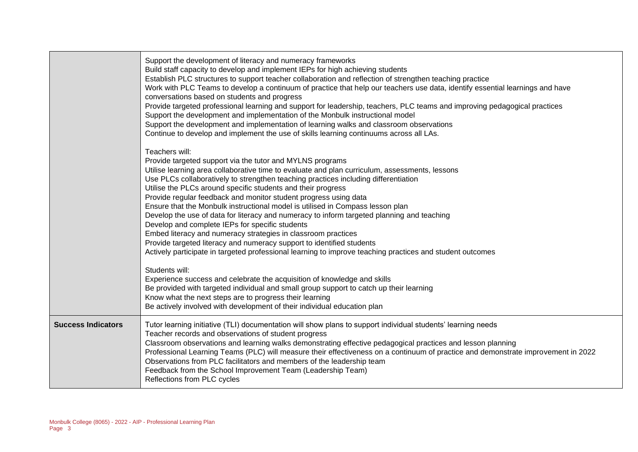|                           | Support the development of literacy and numeracy frameworks<br>Build staff capacity to develop and implement IEPs for high achieving students<br>Establish PLC structures to support teacher collaboration and reflection of strengthen teaching practice<br>Work with PLC Teams to develop a continuum of practice that help our teachers use data, identify essential learnings and have<br>conversations based on students and progress<br>Provide targeted professional learning and support for leadership, teachers, PLC teams and improving pedagogical practices<br>Support the development and implementation of the Monbulk instructional model<br>Support the development and implementation of learning walks and classroom observations<br>Continue to develop and implement the use of skills learning continuums across all LAs.                                                    |
|---------------------------|----------------------------------------------------------------------------------------------------------------------------------------------------------------------------------------------------------------------------------------------------------------------------------------------------------------------------------------------------------------------------------------------------------------------------------------------------------------------------------------------------------------------------------------------------------------------------------------------------------------------------------------------------------------------------------------------------------------------------------------------------------------------------------------------------------------------------------------------------------------------------------------------------|
|                           | Teachers will:<br>Provide targeted support via the tutor and MYLNS programs<br>Utilise learning area collaborative time to evaluate and plan curriculum, assessments, lessons<br>Use PLCs collaboratively to strengthen teaching practices including differentiation<br>Utilise the PLCs around specific students and their progress<br>Provide regular feedback and monitor student progress using data<br>Ensure that the Monbulk instructional model is utilised in Compass lesson plan<br>Develop the use of data for literacy and numeracy to inform targeted planning and teaching<br>Develop and complete IEPs for specific students<br>Embed literacy and numeracy strategies in classroom practices<br>Provide targeted literacy and numeracy support to identified students<br>Actively participate in targeted professional learning to improve teaching practices and student outcomes |
|                           | Students will:<br>Experience success and celebrate the acquisition of knowledge and skills<br>Be provided with targeted individual and small group support to catch up their learning<br>Know what the next steps are to progress their learning<br>Be actively involved with development of their individual education plan                                                                                                                                                                                                                                                                                                                                                                                                                                                                                                                                                                       |
| <b>Success Indicators</b> | Tutor learning initiative (TLI) documentation will show plans to support individual students' learning needs<br>Teacher records and observations of student progress<br>Classroom observations and learning walks demonstrating effective pedagogical practices and lesson planning<br>Professional Learning Teams (PLC) will measure their effectiveness on a continuum of practice and demonstrate improvement in 2022<br>Observations from PLC facilitators and members of the leadership team<br>Feedback from the School Improvement Team (Leadership Team)<br>Reflections from PLC cycles                                                                                                                                                                                                                                                                                                    |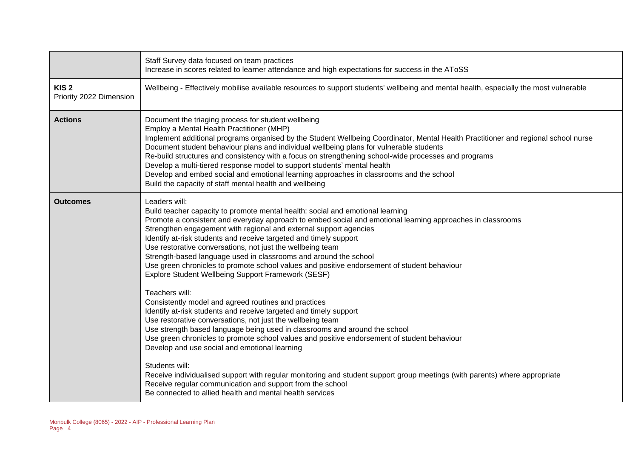|                                             | Staff Survey data focused on team practices<br>Increase in scores related to learner attendance and high expectations for success in the AToSS                                                                                                                                                                                                                                                                                                                                                                                                                                                                                                                                                                                                                                                                                                                                                                                            |
|---------------------------------------------|-------------------------------------------------------------------------------------------------------------------------------------------------------------------------------------------------------------------------------------------------------------------------------------------------------------------------------------------------------------------------------------------------------------------------------------------------------------------------------------------------------------------------------------------------------------------------------------------------------------------------------------------------------------------------------------------------------------------------------------------------------------------------------------------------------------------------------------------------------------------------------------------------------------------------------------------|
| KIS <sub>2</sub><br>Priority 2022 Dimension | Wellbeing - Effectively mobilise available resources to support students' wellbeing and mental health, especially the most vulnerable                                                                                                                                                                                                                                                                                                                                                                                                                                                                                                                                                                                                                                                                                                                                                                                                     |
| <b>Actions</b>                              | Document the triaging process for student wellbeing<br>Employ a Mental Health Practitioner (MHP)<br>Implement additional programs organised by the Student Wellbeing Coordinator, Mental Health Practitioner and regional school nurse<br>Document student behaviour plans and individual wellbeing plans for vulnerable students<br>Re-build structures and consistency with a focus on strengthening school-wide processes and programs<br>Develop a multi-tiered response model to support students' mental health<br>Develop and embed social and emotional learning approaches in classrooms and the school<br>Build the capacity of staff mental health and wellbeing                                                                                                                                                                                                                                                               |
| <b>Outcomes</b>                             | Leaders will:<br>Build teacher capacity to promote mental health: social and emotional learning<br>Promote a consistent and everyday approach to embed social and emotional learning approaches in classrooms<br>Strengthen engagement with regional and external support agencies<br>Identify at-risk students and receive targeted and timely support<br>Use restorative conversations, not just the wellbeing team<br>Strength-based language used in classrooms and around the school<br>Use green chronicles to promote school values and positive endorsement of student behaviour<br>Explore Student Wellbeing Support Framework (SESF)<br>Teachers will:<br>Consistently model and agreed routines and practices<br>Identify at-risk students and receive targeted and timely support<br>Use restorative conversations, not just the wellbeing team<br>Use strength based language being used in classrooms and around the school |
|                                             | Use green chronicles to promote school values and positive endorsement of student behaviour<br>Develop and use social and emotional learning<br>Students will:<br>Receive individualised support with regular monitoring and student support group meetings (with parents) where appropriate<br>Receive regular communication and support from the school<br>Be connected to allied health and mental health services                                                                                                                                                                                                                                                                                                                                                                                                                                                                                                                     |